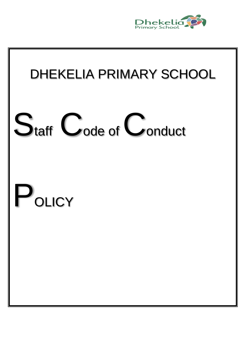

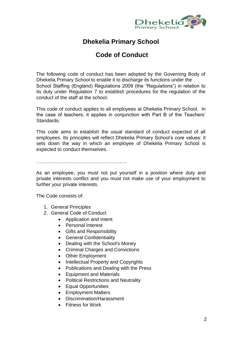![](_page_1_Picture_0.jpeg)

# **Dhekelia Primary School**

# **Code of Conduct**

The following code of conduct has been adopted by the Governing Body of Dhekelia Primary School to enable it to discharge its functions under the School Staffing (England) Regulations 2009 (the "Regulations") in relation to its duty under Regulation 7 to establish procedures for the regulation of the conduct of the staff at the school.

This code of conduct applies to all employees at Dhekelia Primary School. In the case of teachers, it applies in conjunction with Part B of the Teachers' Standards.

This code aims to establish the usual standard of conduct expected of all employees. Its principles will reflect Dhekelia Primary School's core values: it sets down the way in which an employee of Dhekelia Primary School is expected to conduct themselves.

………………………………………………..

As an employee, you must not put yourself in a position where duty and private interests conflict and you must not make use of your employment to further your private interests.

The Code consists of:

- 1. [General Principles](http://peoplesolutions2.birmingham.gov.uk/cs/Satellite?pagename=ExcellenceInPeopleManagement%2FEPMWrapper&contentID=EER012POL&contentType=EPM_Category_C#anc_principles)
- 2. [General Code of Conduct](http://peoplesolutions2.birmingham.gov.uk/cs/Satellite?pagename=ExcellenceInPeopleManagement%2FEPMWrapper&contentID=EER012POL&contentType=EPM_Category_C#anc_general)
	- [Application and Intent](http://peoplesolutions2.birmingham.gov.uk/cs/Satellite?pagename=ExcellenceInPeopleManagement%2FEPMWrapper&contentID=EER012POL&contentType=EPM_Category_C#anc_app)
	- [Personal Interest](http://peoplesolutions2.birmingham.gov.uk/cs/Satellite?pagename=ExcellenceInPeopleManagement%2FEPMWrapper&contentID=EER012POL&contentType=EPM_Category_C#anc_personal)
	- [Gifts and Responsibility](http://peoplesolutions2.birmingham.gov.uk/cs/Satellite?pagename=ExcellenceInPeopleManagement%2FEPMWrapper&contentID=EER012POL&contentType=EPM_Category_C#anc_gifts)
	- **•** [General Confidentiality](http://peoplesolutions2.birmingham.gov.uk/cs/Satellite?pagename=ExcellenceInPeopleManagement%2FEPMWrapper&contentID=EER012POL&contentType=EPM_Category_C#anc_confid)
	- [Dealing with the School's Money](http://peoplesolutions2.birmingham.gov.uk/cs/Satellite?pagename=ExcellenceInPeopleManagement%2FEPMWrapper&contentID=EER012POL&contentType=EPM_Category_C#anc_money)
	- [Criminal Charges and Convictions](http://peoplesolutions2.birmingham.gov.uk/cs/Satellite?pagename=ExcellenceInPeopleManagement%2FEPMWrapper&contentID=EER012POL&contentType=EPM_Category_C#anc_criminal)
	- [Other Employment](http://peoplesolutions2.birmingham.gov.uk/cs/Satellite?pagename=ExcellenceInPeopleManagement%2FEPMWrapper&contentID=EER012POL&contentType=EPM_Category_C#anc_employ)
	- [Intellectual Property and Copyrights](http://peoplesolutions2.birmingham.gov.uk/cs/Satellite?pagename=ExcellenceInPeopleManagement%2FEPMWrapper&contentID=EER012POL&contentType=EPM_Category_C#anc_copyright)
	- Publications and [Dealing with the Press](http://peoplesolutions2.birmingham.gov.uk/cs/Satellite?pagename=ExcellenceInPeopleManagement%2FEPMWrapper&contentID=EER012POL&contentType=EPM_Category_C#anc_publications)
	- [Equipment and Materials](http://peoplesolutions2.birmingham.gov.uk/cs/Satellite?pagename=ExcellenceInPeopleManagement%2FEPMWrapper&contentID=EER012POL&contentType=EPM_Category_C#anc_equipment)
	- [Political Restrictions and Neutrality](http://peoplesolutions2.birmingham.gov.uk/cs/Satellite?pagename=ExcellenceInPeopleManagement%2FEPMWrapper&contentID=EER012POL&contentType=EPM_Category_C#anc_political)
	- [Equal Opportunities](http://peoplesolutions2.birmingham.gov.uk/cs/Satellite?pagename=ExcellenceInPeopleManagement%2FEPMWrapper&contentID=EER012POL&contentType=EPM_Category_C#anc_equal)
	- [Employment Matters](http://peoplesolutions2.birmingham.gov.uk/cs/Satellite?pagename=ExcellenceInPeopleManagement%2FEPMWrapper&contentID=EER012POL&contentType=EPM_Category_C#anc_matters)
	- [Discrimination/Harassment](http://peoplesolutions2.birmingham.gov.uk/cs/Satellite?pagename=ExcellenceInPeopleManagement%2FEPMWrapper&contentID=EER012POL&contentType=EPM_Category_C#anc_harass)
	- [Fitness for Work](http://peoplesolutions2.birmingham.gov.uk/cs/Satellite?pagename=ExcellenceInPeopleManagement%2FEPMWrapper&contentID=EER012POL&contentType=EPM_Category_C#anc_fitness)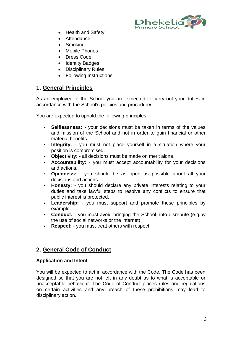![](_page_2_Picture_0.jpeg)

- [Health and Safety](http://peoplesolutions2.birmingham.gov.uk/cs/Satellite?pagename=ExcellenceInPeopleManagement%2FEPMWrapper&contentID=EER012POL&contentType=EPM_Category_C#anc_health)
- [Attendance](http://peoplesolutions2.birmingham.gov.uk/cs/Satellite?pagename=ExcellenceInPeopleManagement%2FEPMWrapper&contentID=EER012POL&contentType=EPM_Category_C#anc_attendance)
- [Smoking](http://peoplesolutions2.birmingham.gov.uk/cs/Satellite?pagename=ExcellenceInPeopleManagement%2FEPMWrapper&contentID=EER012POL&contentType=EPM_Category_C#anc_smoking)
- Mobile Phones
- [Dress Code](http://peoplesolutions2.birmingham.gov.uk/cs/Satellite?pagename=ExcellenceInPeopleManagement%2FEPMWrapper&contentID=EER012POL&contentType=EPM_Category_C#anc_dress)
- [Identity Badges](http://peoplesolutions2.birmingham.gov.uk/cs/Satellite?pagename=ExcellenceInPeopleManagement%2FEPMWrapper&contentID=EER012POL&contentType=EPM_Category_C#anc_identity)
- [Disciplinary Rules](http://peoplesolutions2.birmingham.gov.uk/cs/Satellite?pagename=ExcellenceInPeopleManagement%2FEPMWrapper&contentID=EER012POL&contentType=EPM_Category_C#anc_disci)
- [Following Instructions](http://peoplesolutions2.birmingham.gov.uk/cs/Satellite?pagename=ExcellenceInPeopleManagement%2FEPMWrapper&contentID=EER012POL&contentType=EPM_Category_C#anc_instruct)

## **1. General Principles**

As an employee of the School you are expected to carry out your duties in accordance with the School's policies and procedures.

You are expected to uphold the following principles:

- **Selflessness:** your decisions must be taken in terms of the values and mission of the School and not in order to gain financial or other material benefits.
- **Integrity:** you must not place yourself in a situation where your position is compromised.
- **Objectivity:** all decisions must be made on merit alone.
- **Accountability:** you must accept accountability for your decisions and actions.
- **Openness:** you should be as open as possible about all your decisions and actions.
- **Honesty:** you should declare any private interests relating to your duties and take lawful steps to resolve any conflicts to ensure that public interest is protected.
- **Leadership:** you must support and promote these principles by example.
- **Conduct:**  you must avoid bringing the School, into disrepute (e.g.by the use of social networks or the internet).
- **Respect:**  you must treat others with respect.

## **2. General Code of Conduct**

## **Application and Intent**

You will be expected to act in accordance with the Code. The Code has been designed so that you are not left in any doubt as to what is acceptable or unacceptable behaviour. The Code of Conduct places rules and regulations on certain activities and any breach of these prohibitions may lead to disciplinary action.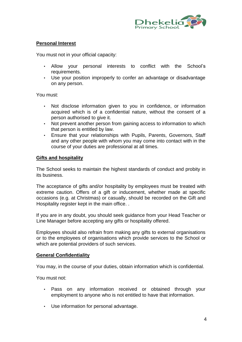![](_page_3_Picture_0.jpeg)

## **Personal Interest**

You must not in your official capacity:

- Allow your personal interests to conflict with the School's requirements.
- Use your position improperly to confer an advantage or disadvantage on any person.

You must:

- Not disclose information given to you in confidence, or information acquired which is of a confidential nature, without the consent of a person authorised to give it.
- Not prevent another person from gaining access to information to which that person is entitled by law.
- Ensure that your relationships with Pupils, Parents, Governors, Staff and any other people with whom you may come into contact with in the course of your duties are professional at all times.

## **Gifts and hospitality**

The School seeks to maintain the highest standards of conduct and probity in its business.

The acceptance of gifts and/or hospitality by employees must be treated with extreme caution. Offers of a gift or inducement, whether made at specific occasions (e.g. at Christmas) or casually, should be recorded on the Gift and Hospitality register kept in the main office. .

If you are in any doubt, you should seek guidance from your Head Teacher or Line Manager before accepting any gifts or hospitality offered.

Employees should also refrain from making any gifts to external organisations or to the employees of organisations which provide services to the School or which are potential providers of such services.

## **General Confidentiality**

You may, in the course of your duties, obtain information which is confidential.

You must not:

- Pass on any information received or obtained through your employment to anyone who is not entitled to have that information.
- Use information for personal advantage.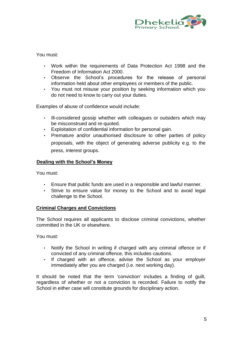![](_page_4_Picture_0.jpeg)

You must:

- Work within the requirements of Data Protection Act 1998 and the Freedom of Information Act 2000.
- Observe the School's procedures for the release of personal information held about other employees or members of the public.
- You must not misuse your position by seeking information which you do not need to know to carry out your duties.

Examples of abuse of confidence would include:

- Ill-considered gossip whether with colleagues or outsiders which may be misconstrued and re-quoted.
- Exploitation of confidential information for personal gain.
- Premature and/or unauthorised disclosure to other parties of policy proposals, with the object of generating adverse publicity e.g. to the press, interest groups.

## **Dealing with the School's Money**

You must:

- Ensure that public funds are used in a responsible and lawful manner.
- Strive to ensure value for money to the School and to avoid legal challenge to the School.

## **Criminal Charges and Convictions**

The School requires all applicants to disclose criminal convictions, whether committed in the UK or elsewhere.

You must:

- Notify the School in writing if charged with any criminal offence or if convicted of any criminal offence, this includes cautions.
- If charged with an offence, advise the School as your employer immediately after you are charged (i.e. next working day).

It should be noted that the term 'conviction' includes a finding of guilt, regardless of whether or not a conviction is recorded. Failure to notify the School in either case will constitute grounds for disciplinary action.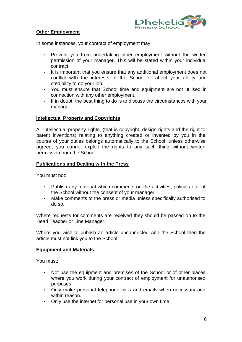![](_page_5_Picture_0.jpeg)

## **Other Employment**

In some instances, your contract of employment may:

- Prevent you from undertaking other employment without the written permission of your manager. This will be stated within your individual contract.
- It is important that you ensure that any additional employment does not conflict with the interests of the School or affect your ability and credibility to do your job.
- You must ensure that School time and equipment are not utilised in connection with any other employment.
- If in doubt, the best thing to do is to discuss the circumstances with your manager.

## **Intellectual Property and Copyrights**

All intellectual property rights, (that is copyright, design rights and the right to patent inventions) relating to anything created or invented by you in the course of your duties belongs automatically to the School, unless otherwise agreed, you cannot exploit the rights to any such thing without written permission from the School.

## **Publications and Dealing with the Press**

You must not:

- Publish any material which comments on the activities, policies etc. of the School without the consent of your manager.
- Make comments to the press or media unless specifically authorised to do so.

Where requests for comments are received they should be passed on to the Head Teacher or Line Manager.

Where you wish to publish an article unconnected with the School then the article must not link you to the School.

#### **Equipment and Materials**

You must:

- Not use the equipment and premises of the School or of other places where you work during your contract of employment for unauthorised purposes.
- Only make personal telephone calls and emails when necessary and within reason.
- Only use the internet for personal use in your own time.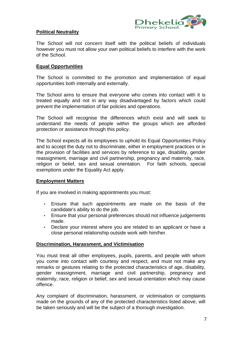![](_page_6_Picture_0.jpeg)

## **Political Neutrality**

The School will not concern itself with the political beliefs of individuals however you must not allow your own political beliefs to interfere with the work of the School.

## **Equal Opportunities**

The School is committed to the promotion and implementation of equal opportunities both internally and externally.

The School aims to ensure that everyone who comes into contact with it is treated equally and not in any way disadvantaged by factors which could prevent the implementation of fair policies and operations.

The School will recognise the differences which exist and will seek to understand the needs of people within the groups which are afforded protection or assistance through this policy.

The School expects all its employees to uphold its Equal Opportunities Policy and to accept the duty not to discriminate, either in employment practices or in the provision of facilities and services by reference to age, disability, gender reassignment, marriage and civil partnership, pregnancy and maternity, race, religion or belief, sex and sexual orientation. For faith schools, special exemptions under the Equality Act apply.

## **Employment Matters**

If you are involved in making appointments you must:

- Ensure that such appointments are made on the basis of the candidate's ability to do the job.
- Ensure that your personal preferences should not influence judgements made.
- Declare your interest where you are related to an applicant or have a close personal relationship outside work with him/her.

#### **Discrimination, Harassment, and Victimisation**

You must treat all other employees, pupils, parents, and people with whom you come into contact with courtesy and respect, and must not make any remarks or gestures relating to the protected characteristics of age, disability, gender reassignment, marriage and civil partnership, pregnancy and maternity, race, religion or belief, sex and sexual orientation which may cause offence.

Any complaint of discrimination, harassment, or victimisation or complaints made on the grounds of any of the protected characteristics listed above, will be taken seriously and will be the subject of a thorough investigation.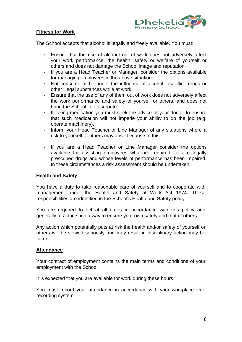![](_page_7_Picture_0.jpeg)

## **Fitness for Work**

The School accepts that alcohol is legally and freely available. You must:

- Ensure that the use of alcohol out of work does not adversely affect your work performance, the health, safety or welfare of yourself or others and does not damage the School image and reputation.
- If you are a Head Teacher or Manager, consider the options available for managing employees in the above situation
- Not consume or be under the influence of alcohol, use illicit drugs or other illegal substances while at work.
- Ensure that the use of any of them out of work does not adversely affect the work performance and safety of yourself or others, and does not bring the School into disrepute.
- If taking medication you must seek the advice of your doctor to ensure that such medication will not impede your ability to do the job (e.g. operate machinery).
- Inform your Head Teacher or Line Manager of any situations where a risk to yourself or others may arise because of this.
- If you are a Head Teacher or Line Manager consider the options available for assisting employees who are required to take legally prescribed drugs and whose levels of performance has been impaired. In these circumstances a risk assessment should be undertaken.

## **Health and Safety**

You have a duty to take reasonable care of yourself and to cooperate with management under the Health and Safety at Work Act 1974. These responsibilities are identified in the School's Health and Safety policy.

You are required to act at all times in accordance with this policy and generally to act in such a way to ensure your own safety and that of others.

Any action which potentially puts at risk the health and/or safety of yourself or others will be viewed seriously and may result in disciplinary action may be taken.

#### **Attendance**

Your contract of employment contains the main terms and conditions of your employment with the School.

It is expected that you are available for work during these hours.

You must record your attendance in accordance with your workplace time recording system.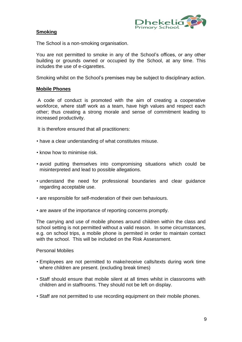![](_page_8_Picture_0.jpeg)

## **Smoking**

The School is a non-smoking organisation.

You are not permitted to smoke in any of the School's offices, or any other building or grounds owned or occupied by the School, at any time. This includes the use of e-cigarettes.

Smoking whilst on the School's premises may be subject to disciplinary action.

## **Mobile Phones**

A code of conduct is promoted with the aim of creating a cooperative workforce, where staff work as a team, have high values and respect each other; thus creating a strong morale and sense of commitment leading to increased productivity.

It is therefore ensured that all practitioners:

- have a clear understanding of what constitutes misuse.
- know how to minimise risk.
- avoid putting themselves into compromising situations which could be misinterpreted and lead to possible allegations.
- understand the need for professional boundaries and clear guidance regarding acceptable use.
- are responsible for self-moderation of their own behaviours.
- are aware of the importance of reporting concerns promptly.

The carrying and use of mobile phones around children within the class and school setting is not permitted without a valid reason. In some circumstances, e.g. on school trips, a mobile phone is permited in order to maintain contact with the school. This will be included on the Risk Assessment.

#### Personal Mobiles

- Employees are not permitted to make/receive calls/texts during work time where children are present. (excluding break times)
- Staff should ensure that mobile silent at all times whilst in classrooms with children and in staffrooms. They should not be left on display.
- Staff are not permitted to use recording equipment on their mobile phones.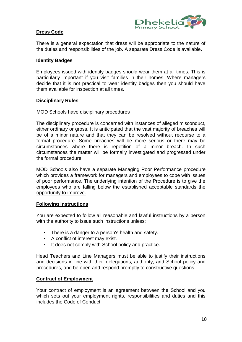![](_page_9_Picture_0.jpeg)

## **Dress Code**

There is a general expectation that dress will be appropriate to the nature of the duties and responsibilities of the job. A separate Dress Code is available.

### **Identity Badges**

Employees issued with identity badges should wear them at all times. This is particularly important if you visit families in their homes. Where managers decide that it is not practical to wear identity badges then you should have them available for inspection at all times.

#### **Disciplinary Rules**

MOD Schools have disciplinary procedures

The disciplinary procedure is concerned with instances of alleged misconduct, either ordinary or gross. It is anticipated that the vast majority of breaches will be of a minor nature and that they can be resolved without recourse to a formal procedure. Some breaches will be more serious or there may be circumstances where there is repetition of a minor breach. In such circumstances the matter will be formally investigated and progressed under the formal procedure.

MOD Schools also have a separate Managing Poor Performance procedure which provides a framework for managers and employees to cope with issues of poor performance. The underlying intention of the Procedure is to give the employees who are falling below the established acceptable standards the opportunity to improve.

#### **Following Instructions**

You are expected to follow all reasonable and lawful instructions by a person with the authority to issue such instructions unless:

- There is a danger to a person's health and safety.
- A conflict of interest may exist.
- It does not comply with School policy and practice.

Head Teachers and Line Managers must be able to justify their instructions and decisions in line with their delegations, authority, and School policy and procedures, and be open and respond promptly to constructive questions.

## **Contract of Employment**

Your contract of employment is an agreement between the School and you which sets out your employment rights, responsibilities and duties and this includes the Code of Conduct.